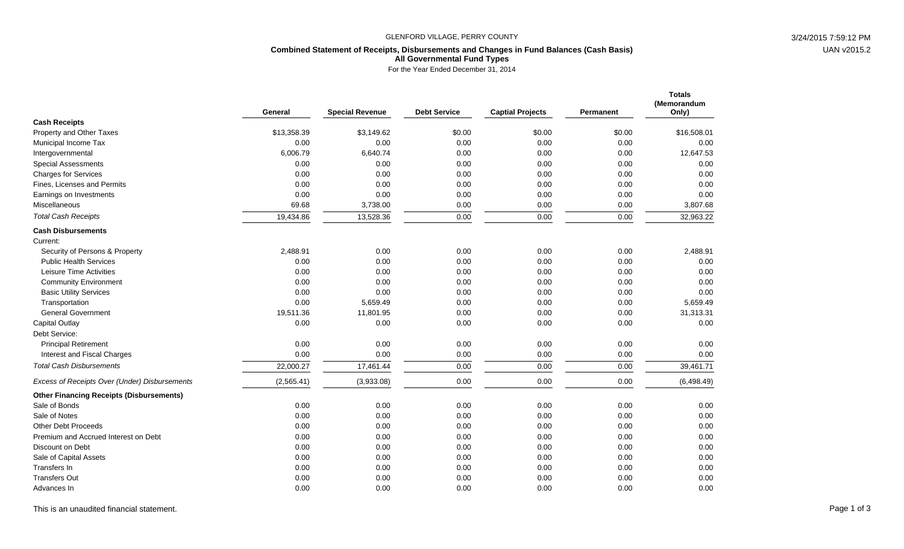### GLENFORD VILLAGE, PERRY COUNTY 3/24/2015 7:59:12 PM

## **Combined Statement of Receipts, Disbursements and Changes in Fund Balances (Cash Basis) All Governmental Fund Types**

For the Year Ended December 31, 2014

|                                                 | General     | <b>Special Revenue</b> | <b>Debt Service</b> | <b>Captial Projects</b> | Permanent | <b>Totals</b><br>(Memorandum<br>Only) |
|-------------------------------------------------|-------------|------------------------|---------------------|-------------------------|-----------|---------------------------------------|
| <b>Cash Receipts</b>                            |             |                        |                     |                         |           |                                       |
| Property and Other Taxes                        | \$13,358.39 | \$3,149.62             | \$0.00              | \$0.00                  | \$0.00    | \$16,508.01                           |
| Municipal Income Tax                            | 0.00        | 0.00                   | 0.00                | 0.00                    | 0.00      | 0.00                                  |
| Intergovernmental                               | 6,006.79    | 6,640.74               | 0.00                | 0.00                    | 0.00      | 12,647.53                             |
| <b>Special Assessments</b>                      | 0.00        | 0.00                   | 0.00                | 0.00                    | 0.00      | 0.00                                  |
| <b>Charges for Services</b>                     | 0.00        | 0.00                   | 0.00                | 0.00                    | 0.00      | 0.00                                  |
| Fines, Licenses and Permits                     | 0.00        | 0.00                   | 0.00                | 0.00                    | 0.00      | 0.00                                  |
| Earnings on Investments                         | 0.00        | 0.00                   | 0.00                | 0.00                    | 0.00      | 0.00                                  |
| <b>Miscellaneous</b>                            | 69.68       | 3,738.00               | 0.00                | 0.00                    | 0.00      | 3,807.68                              |
| <b>Total Cash Receipts</b>                      | 19,434.86   | 13,528.36              | 0.00                | 0.00                    | 0.00      | 32,963.22                             |
| <b>Cash Disbursements</b>                       |             |                        |                     |                         |           |                                       |
| Current:                                        |             |                        |                     |                         |           |                                       |
| Security of Persons & Property                  | 2,488.91    | 0.00                   | 0.00                | 0.00                    | 0.00      | 2,488.91                              |
| <b>Public Health Services</b>                   | 0.00        | 0.00                   | 0.00                | 0.00                    | 0.00      | 0.00                                  |
| Leisure Time Activities                         | 0.00        | 0.00                   | 0.00                | 0.00                    | 0.00      | 0.00                                  |
| <b>Community Environment</b>                    | 0.00        | 0.00                   | 0.00                | 0.00                    | 0.00      | 0.00                                  |
| <b>Basic Utility Services</b>                   | 0.00        | 0.00                   | 0.00                | 0.00                    | 0.00      | 0.00                                  |
| Transportation                                  | 0.00        | 5,659.49               | 0.00                | 0.00                    | 0.00      | 5,659.49                              |
| <b>General Government</b>                       | 19,511.36   | 11,801.95              | 0.00                | 0.00                    | 0.00      | 31,313.31                             |
| Capital Outlay                                  | 0.00        | 0.00                   | 0.00                | 0.00                    | 0.00      | 0.00                                  |
| Debt Service:                                   |             |                        |                     |                         |           |                                       |
| <b>Principal Retirement</b>                     | 0.00        | 0.00                   | 0.00                | 0.00                    | 0.00      | 0.00                                  |
| Interest and Fiscal Charges                     | 0.00        | 0.00                   | 0.00                | 0.00                    | 0.00      | 0.00                                  |
| <b>Total Cash Disbursements</b>                 | 22,000.27   | 17,461.44              | 0.00                | 0.00                    | 0.00      | 39,461.71                             |
| Excess of Receipts Over (Under) Disbursements   | (2,565.41)  | (3,933.08)             | 0.00                | 0.00                    | 0.00      | (6,498.49)                            |
| <b>Other Financing Receipts (Disbursements)</b> |             |                        |                     |                         |           |                                       |
| Sale of Bonds                                   | 0.00        | 0.00                   | 0.00                | 0.00                    | 0.00      | 0.00                                  |
| Sale of Notes                                   | 0.00        | 0.00                   | 0.00                | 0.00                    | 0.00      | 0.00                                  |
| <b>Other Debt Proceeds</b>                      | 0.00        | 0.00                   | 0.00                | 0.00                    | 0.00      | 0.00                                  |
| Premium and Accrued Interest on Debt            | 0.00        | 0.00                   | 0.00                | 0.00                    | 0.00      | 0.00                                  |
| Discount on Debt                                | 0.00        | 0.00                   | 0.00                | 0.00                    | 0.00      | 0.00                                  |
| Sale of Capital Assets                          | 0.00        | 0.00                   | 0.00                | 0.00                    | 0.00      | 0.00                                  |
| Transfers In                                    | 0.00        | 0.00                   | 0.00                | 0.00                    | 0.00      | 0.00                                  |
| <b>Transfers Out</b>                            | 0.00        | 0.00                   | 0.00                | 0.00                    | 0.00      | 0.00                                  |
| Advances In                                     | 0.00        | 0.00                   | 0.00                | 0.00                    | 0.00      | 0.00                                  |

This is an unaudited financial statement. Page 1 of 3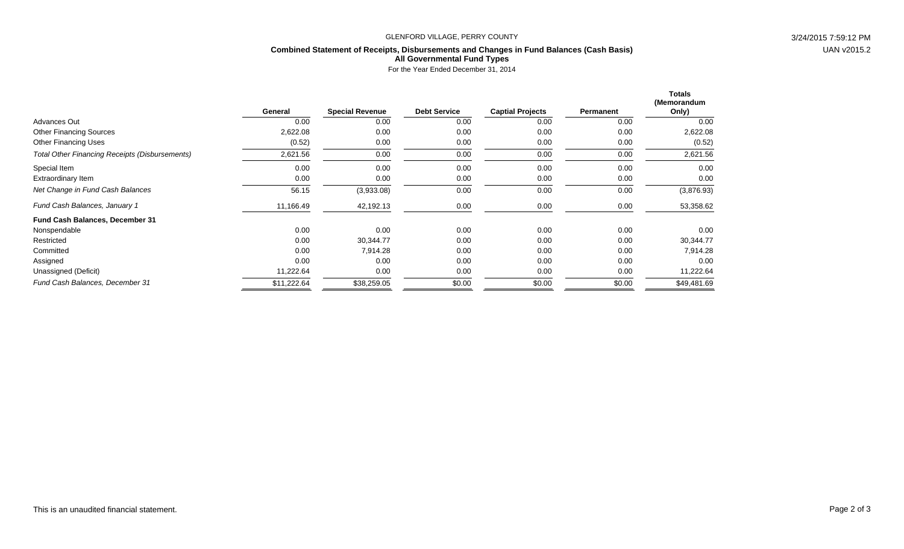### GLENFORD VILLAGE, PERRY COUNTY 3/24/2015 7:59:12 PM

## **Combined Statement of Receipts, Disbursements and Changes in Fund Balances (Cash Basis)**

UAN v2015.2

## **All Governmental Fund Types**

For the Year Ended December 31, 2014

|                                                       |             |                        |                     |                         |           | <b>Totals</b><br>(Memorandum |
|-------------------------------------------------------|-------------|------------------------|---------------------|-------------------------|-----------|------------------------------|
|                                                       | General     | <b>Special Revenue</b> | <b>Debt Service</b> | <b>Captial Projects</b> | Permanent | Only)                        |
| <b>Advances Out</b>                                   | 0.00        | 0.00                   | 0.00                | 0.00                    | 0.00      | 0.00                         |
| <b>Other Financing Sources</b>                        | 2,622.08    | 0.00                   | 0.00                | 0.00                    | 0.00      | 2,622.08                     |
| <b>Other Financing Uses</b>                           | (0.52)      | 0.00                   | 0.00                | 0.00                    | 0.00      | (0.52)                       |
| <b>Total Other Financing Receipts (Disbursements)</b> | 2,621.56    | 0.00                   | 0.00                | 0.00                    | 0.00      | 2,621.56                     |
| Special Item                                          | 0.00        | 0.00                   | 0.00                | 0.00                    | 0.00      | 0.00                         |
| Extraordinary Item                                    | 0.00        | 0.00                   | 0.00                | 0.00                    | 0.00      | 0.00                         |
| Net Change in Fund Cash Balances                      | 56.15       | (3,933.08)             | 0.00                | 0.00                    | 0.00      | (3,876.93)                   |
| Fund Cash Balances, January 1                         | 11,166.49   | 42,192.13              | 0.00                | 0.00                    | 0.00      | 53,358.62                    |
| <b>Fund Cash Balances, December 31</b>                |             |                        |                     |                         |           |                              |
| Nonspendable                                          | 0.00        | 0.00                   | 0.00                | 0.00                    | 0.00      | 0.00                         |
| Restricted                                            | 0.00        | 30,344.77              | 0.00                | 0.00                    | 0.00      | 30,344.77                    |
| Committed                                             | 0.00        | 7,914.28               | 0.00                | 0.00                    | 0.00      | 7,914.28                     |
| Assigned                                              | 0.00        | 0.00                   | 0.00                | 0.00                    | 0.00      | 0.00                         |
| Unassigned (Deficit)                                  | 11,222.64   | 0.00                   | 0.00                | 0.00                    | 0.00      | 11,222.64                    |
| Fund Cash Balances, December 31                       | \$11,222.64 | \$38,259.05            | \$0.00              | \$0.00                  | \$0.00    | \$49,481.69                  |